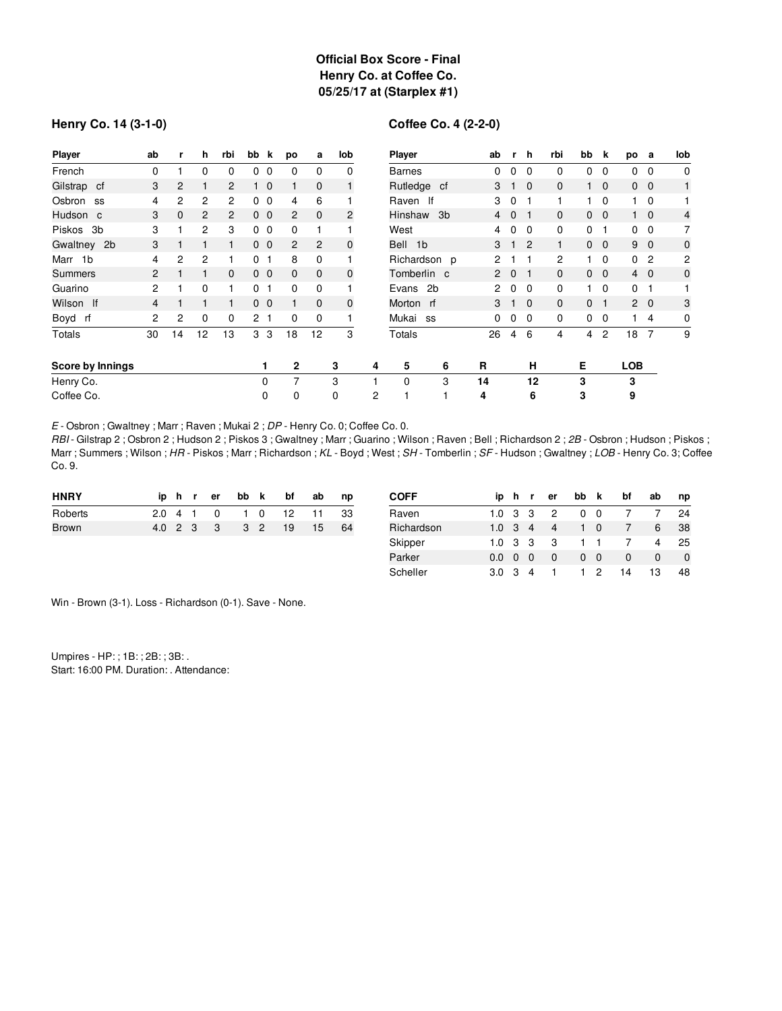## **Official Box Score - Final Henry Co. at Coffee Co. 05/25/17 at (Starplex #1)**

#### **Henry Co. 14 (3-1-0)**

# **Coffee Co. 4 (2-2-0)**

| Player           | ab             |              | h              | rbi            | bb             | k           | po             | a              | lob         |   | Player        |                | ab                   | r.             | h              | rbi          | bb           | k              | po             | а              | lob         |
|------------------|----------------|--------------|----------------|----------------|----------------|-------------|----------------|----------------|-------------|---|---------------|----------------|----------------------|----------------|----------------|--------------|--------------|----------------|----------------|----------------|-------------|
| French           | 0              |              | 0              | 0              | 0              | $\Omega$    | 0              | 0              | 0           |   | <b>Barnes</b> |                | 0                    | 0              | $\Omega$       | 0            | 0            | 0              | 0              | $\Omega$       | $\mathbf 0$ |
| Gilstrap cf      | 3              | 2            |                | 2              |                | $\mathbf 0$ |                | 0              |             |   | Rutledge cf   |                | 3                    |                | $\Omega$       | 0            |              | $\mathbf{0}$   | $\mathbf{0}$   | $\overline{0}$ | 1           |
| Osbron<br>SS     | 4              | 2            | 2              | 2              | 0              | 0           | 4              | 6              |             |   | Raven If      |                | 3                    | 0              |                |              |              | $\mathbf 0$    |                | 0              |             |
| Hudson c         | 3              | $\mathbf{0}$ | $\overline{2}$ | $\overline{c}$ | 0 <sub>0</sub> |             | $\overline{2}$ | 0              | 2           |   | Hinshaw       | 3b             | $\overline{4}$       | $\mathbf{0}$   |                | $\mathbf{0}$ | $\mathbf{0}$ | $\overline{0}$ | 1              | $\overline{0}$ | 4           |
| Piskos 3b        | 3              |              | $\overline{c}$ | 3              | 0 <sub>0</sub> |             | 0              |                |             |   | West          |                | $\overline{4}$       | $\mathbf 0$    | 0              | 0            | 0            | 1              |                | $0\quad 0$     |             |
| Gwaltney 2b      | 3              |              |                |                | 0 <sub>0</sub> |             | 2              | $\overline{c}$ | $\mathbf 0$ |   | Bell          | 1 <sub>b</sub> | 3                    | 1              | $\overline{2}$ | 1.           | $\mathbf{0}$ | $\mathbf{0}$   | 9              | $\overline{0}$ | $\mathbf 0$ |
| 1b<br>Marr       | 4              | 2            | 2              |                | 0              |             | 8              | 0              |             |   |               | Richardson p   | 2                    |                |                | 2            |              | 0              | 0              | 2              | 2           |
| <b>Summers</b>   | $\overline{2}$ |              |                | 0              | 0 <sub>0</sub> |             | $\mathbf{0}$   | 0              | $\mathbf 0$ |   | Tomberlin c   |                | $\overline{2}$       | $\overline{0}$ |                | 0            | $\mathbf{0}$ | $\mathbf{0}$   | $\overline{4}$ | $\overline{0}$ | $\mathbf 0$ |
| Guarino          | $\overline{2}$ |              | 0              |                | $\Omega$       |             | $\mathbf 0$    | 0              |             |   | Evans 2b      |                | $\mathbf{2}^{\circ}$ | $\mathbf 0$    | $\Omega$       | $\Omega$     |              | $\mathbf 0$    | 0              | 1              |             |
| Wilson If        | 4              |              |                |                | 0 <sub>0</sub> |             | 1              | 0              | $\mathbf 0$ |   | Morton rf     |                | 3                    |                | $\mathbf 0$    | $\mathbf{0}$ | $\mathbf{0}$ | $\mathbf{1}$   |                | $2\quad 0$     | 3           |
| Boyd rf          | 2              | 2            | 0              | 0              | $\overline{2}$ |             | 0              | 0              |             |   | Mukai ss      |                | 0                    | 0              | 0              | 0            | 0            | $\mathbf 0$    |                | 4              | 0           |
| Totals           | 30             | 14           | 12             | 13             | 3              | 3           | 18             | 12             | 3           |   | <b>Totals</b> |                | 26                   | 4              | 6              | 4            | 4            | $\overline{c}$ | 18             | 7              | 9           |
| Score by Innings |                |              |                |                |                |             | $\mathbf{2}$   |                | 3           | 4 | 5             | 6              | R                    |                | н              |              | Е            |                | <b>LOB</b>     |                |             |
| Henry Co.        |                |              |                |                |                | 0           | 7              |                | 3           |   | $\Omega$      | 3              | 14                   |                | 12             |              | 3            |                | 3              |                |             |
| Coffee Co.       |                |              |                |                |                | $\Omega$    | 0              |                | $\Omega$    | 2 | 1             | 1              | 4                    |                | 6              |              | 3            |                | 9              |                |             |

*E* - Osbron ; Gwaltney ; Marr ; Raven ; Mukai 2 ; *DP* - Henry Co. 0; Coffee Co. 0.

*RBI* - Gilstrap 2 ; Osbron 2 ; Hudson 2 ; Piskos 3 ; Gwaltney ; Marr ; Guarino ; Wilson ; Raven ; Bell ; Richardson 2 ; *2B* - Osbron ; Hudson ; Piskos ; Marr ; Summers ; Wilson ; *HR* - Piskos ; Marr ; Richardson ; *KL* - Boyd ; West ; *SH* - Tomberlin ; *SF* - Hudson ; Gwaltney ; *LOB* - Henry Co. 3; Coffee Co. 9.

| <b>HNRY</b> |  |  |  | ip h r er bb k bf ab np |  |
|-------------|--|--|--|-------------------------|--|
| Roberts     |  |  |  | 2.0 4 1 0 1 0 1 2 11 33 |  |
| Brown       |  |  |  | 4.0 2 3 3 3 2 19 15 64  |  |

| COFF       | ip.                   |          |     | hr er | bb k         |                          | bf | ab | np |
|------------|-----------------------|----------|-----|-------|--------------|--------------------------|----|----|----|
| Raven      | $1.0 \t3 \t3$         |          |     | 2     | 0            | $\overline{\phantom{0}}$ |    |    | 24 |
| Richardson | $1.0 \t3 \t4$         |          |     | 4     | $1\quad 0$   |                          |    | 6  | 38 |
| Skipper    | $1.0 \t3 \t3$         |          |     | 3     | $\mathbf{1}$ | $\blacksquare$           |    |    | 25 |
| Parker     | 0.0                   | $\sim$ 0 | - 0 | 0     | $0\quad 0$   |                          | 0  | O  |    |
| Scheller   | $3.0 \quad 3 \quad 4$ |          |     |       |              | 12                       | 14 | 13 | 48 |

Win - Brown (3-1). Loss - Richardson (0-1). Save - None.

Umpires - HP: ; 1B: ; 2B: ; 3B: . Start: 16:00 PM. Duration: . Attendance: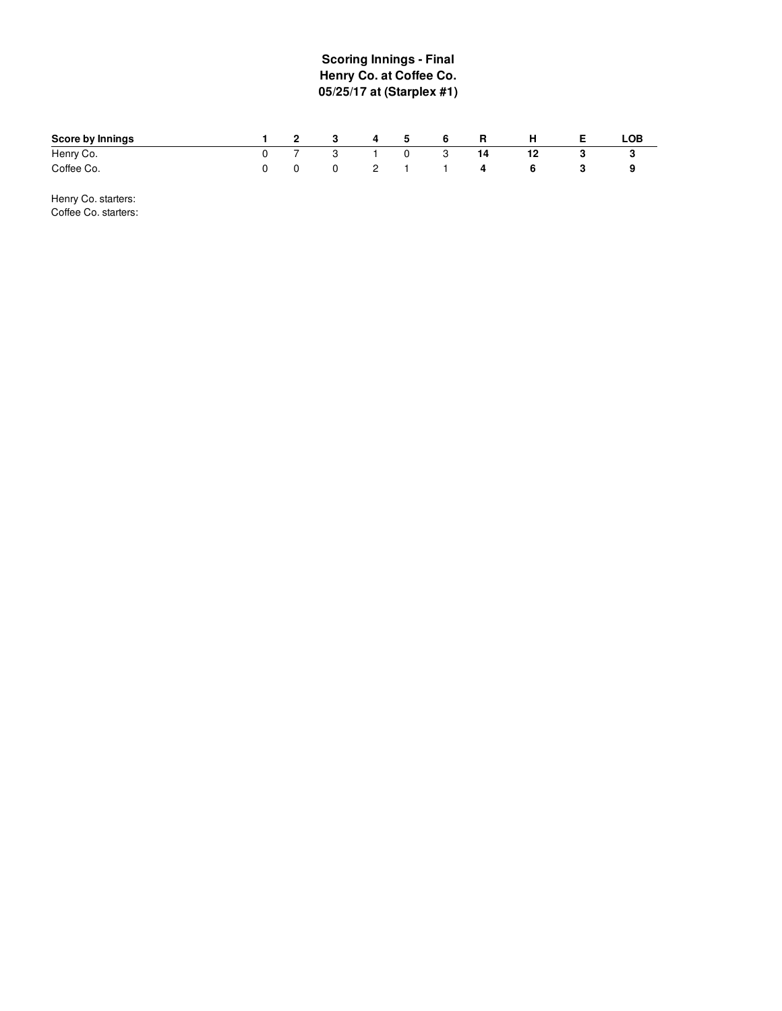## **S c o rin g In nin g s - Fin al Henry Co. at Coffee Co. 05/25/17 at (Starplex #1)**

| Score by Innings | $\overline{\mathbf{2}}$ | 3     | 4 5 | 6                       | R.        | H  | LOB |
|------------------|-------------------------|-------|-----|-------------------------|-----------|----|-----|
| Henry Co.        |                         | 3 1 0 |     | $\overline{\mathbf{3}}$ | 14        | 12 |     |
| Coffee Co.       |                         |       |     |                         | 0 2 1 1 4 |    |     |

Henry Co. starters: Coffee Co. starters: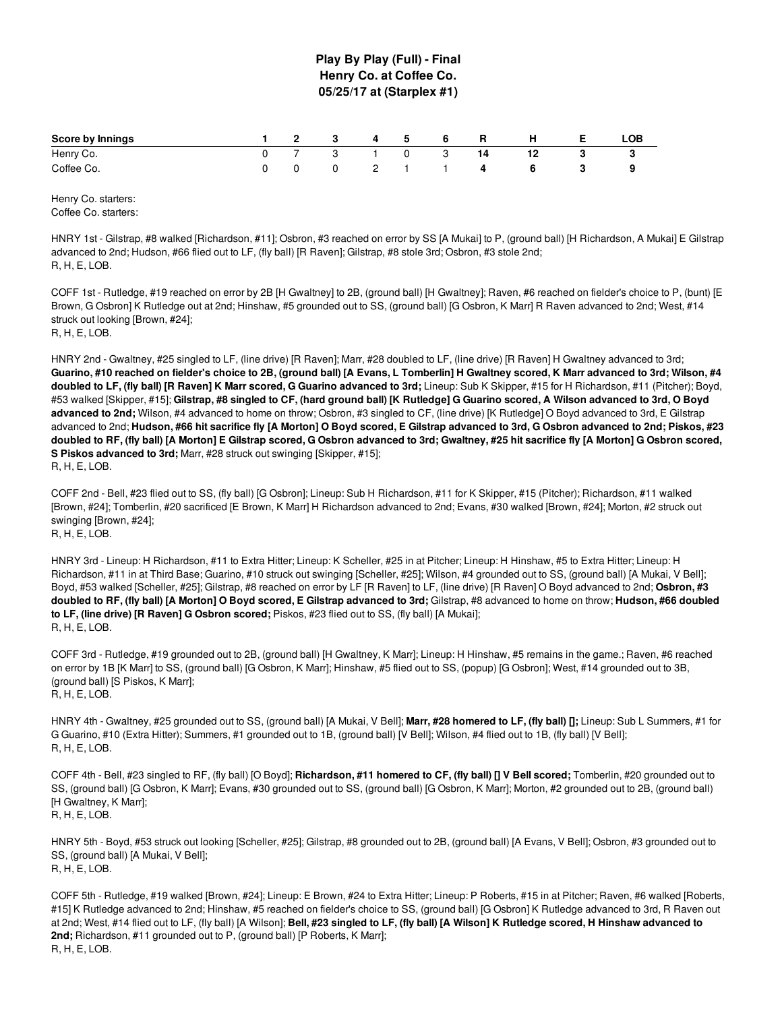### **Play By Play (Full) - Final Henry Co. at Coffee Co. 05/25/17 at (Starplex #1)**

| Score by Innings |          |             |  |         | 1 2 3 4 5 6 R H | LOB |
|------------------|----------|-------------|--|---------|-----------------|-----|
| Henry Co.        |          | 0 7 3 1 0 3 |  | 14      | 12.             |     |
| Coffee Co.       | $\Omega$ |             |  | 2 1 1 4 |                 |     |

Henry Co. starters: Coffee Co. starters:

HNRY 1st - Gilstrap, #8 walked [Richardson, #11]; Osbron, #3 reached on error by SS [A Mukai] to P, (ground ball) [H Richardson, A Mukai] E Gilstrap advanced to 2nd; Hudson, #66 flied out to LF, (fly ball) [R Raven]; Gilstrap, #8 stole 3rd; Osbron, #3 stole 2nd; R, H, E, LOB.

COFF 1st - Rutledge, #19 reached on error by 2B [H Gwaltney] to 2B, (ground ball) [H Gwaltney]; Raven, #6 reached on fielder's choice to P, (bunt) [E Brown, G Osbron] K Rutledge out at 2nd; Hinshaw, #5 grounded out to SS, (ground ball) [G Osbron, K Marr] R Raven advanced to 2nd; West, #14 struck out looking [Brown, #24]; R, H, E, LOB.

HNRY 2nd - Gwaltney, #25 singled to LF, (line drive) [R Raven]; Marr, #28 doubled to LF, (line drive) [R Raven] H Gwaltney advanced to 3rd; Guarino, #10 reached on fielder's choice to 2B, (ground ball) [A Evans, L Tomberlin] H Gwaltney scored, K Marr advanced to 3rd; Wilson, #4 doubled to LF, (fly ball) [R Raven] K Marr scored, G Guarino advanced to 3rd; Lineup: Sub K Skipper, #15 for H Richardson, #11 (Pitcher); Boyd, #53 walked [Skipper, #15]; Gilstrap, #8 singled to CF, (hard ground ball) [K Rutledge] G Guarino scored, A Wilson advanced to 3rd, O Boyd **advanced to 2nd;** Wilson, #4 advanced to home on throw; Osbron, #3 singled to CF, (line drive) [K Rutledge] O Boyd advanced to 3rd, E Gilstrap advanced to 2nd; Hudson, #66 hit sacrifice fly [A Morton] O Boyd scored, E Gilstrap advanced to 3rd, G Osbron advanced to 2nd; Piskos, #23 doubled to RF, (fly ball) [A Morton] E Gilstrap scored, G Osbron advanced to 3rd; Gwaltney, #25 hit sacrifice fly [A Morton] G Osbron scored, **S Piskos advanced to 3rd;** Marr, #28 struck out swinging [Skipper, #15]; R, H, E, LOB.

COFF 2nd - Bell, #23 flied out to SS, (fly ball) [G Osbron]; Lineup: Sub H Richardson, #11 for K Skipper, #15 (Pitcher); Richardson, #11 walked [Brown, #24]; Tomberlin, #20 sacrificed [E Brown, K Marr] H Richardson advanced to 2nd; Evans, #30 walked [Brown, #24]; Morton, #2 struck out swinging [Brown, #24]; R, H, E, LOB.

HNRY 3rd - Lineup: H Richardson, #11 to Extra Hitter; Lineup: K Scheller, #25 in at Pitcher; Lineup: H Hinshaw, #5 to Extra Hitter; Lineup: H Richardson, #11 in at Third Base; Guarino, #10 struck out swinging [Scheller, #25]; Wilson, #4 grounded out to SS, (ground ball) [A Mukai, V Bell]; Boyd, #53 walked [Scheller, #25]; Gilstrap, #8 reached on error by LF [R Raven] to LF, (line drive) [R Raven] O Boyd advanced to 2nd; **Osbron, #3** doubled to RF, (fly ball) [A Morton] O Boyd scored, E Gilstrap advanced to 3rd; Gilstrap, #8 advanced to home on throw; Hudson, #66 doubled **to LF, (line drive) [R Raven] G Osbron scored;** Piskos, #23 flied out to SS, (fly ball) [A Mukai]; R, H, E, LOB.

COFF 3rd - Rutledge, #19 grounded out to 2B, (ground ball) [H Gwaltney, K Marr]; Lineup: H Hinshaw, #5 remains in the game.; Raven, #6 reached on error by 1B [K Marr] to SS, (ground ball) [G Osbron, K Marr]; Hinshaw, #5 flied out to SS, (popup) [G Osbron]; West, #14 grounded out to 3B, (ground ball) [S Piskos, K Marr]; R, H, E, LOB.

HNRY 4th - Gwaltney, #25 grounded out to SS, (ground ball) [A Mukai, V Bell]; **Marr, #28 homered to LF, (fly ball) [];** Lineup: Sub L Summers, #1 for G Guarino, #10 (Extra Hitter); Summers, #1 grounded out to 1B, (ground ball) [V Bell]; Wilson, #4 flied out to 1B, (fly ball) [V Bell]; R, H, E, LOB.

COFF 4th - Bell, #23 singled to RF, (fly ball) [O Boyd]; **Richardson, #11 homered to CF, (fly ball) [] V Bell scored;** Tomberlin, #20 grounded out to SS, (ground ball) [G Osbron, K Marr]; Evans, #30 grounded out to SS, (ground ball) [G Osbron, K Marr]; Morton, #2 grounded out to 2B, (ground ball) [H Gwaltney, K Marr]; R, H, E, LOB.

HNRY 5th - Boyd, #53 struck out looking [Scheller, #25]; Gilstrap, #8 grounded out to 2B, (ground ball) [A Evans, V Bell]; Osbron, #3 grounded out to SS, (ground ball) [A Mukai, V Bell]; R, H, E, LOB.

COFF 5th - Rutledge, #19 walked [Brown, #24]; Lineup: E Brown, #24 to Extra Hitter; Lineup: P Roberts, #15 in at Pitcher; Raven, #6 walked [Roberts, #15] K Rutledge advanced to 2nd; Hinshaw, #5 reached on fielder's choice to SS, (ground ball) [G Osbron] K Rutledge advanced to 3rd, R Raven out at 2nd; West, #14 flied out to LF, (fly ball) [A Wilson]; Bell, #23 singled to LF, (fly ball) [A Wilson] K Rutledge scored, H Hinshaw advanced to **2nd;** Richardson, #11 grounded out to P, (ground ball) [P Roberts, K Marr]; R, H, E, LOB.